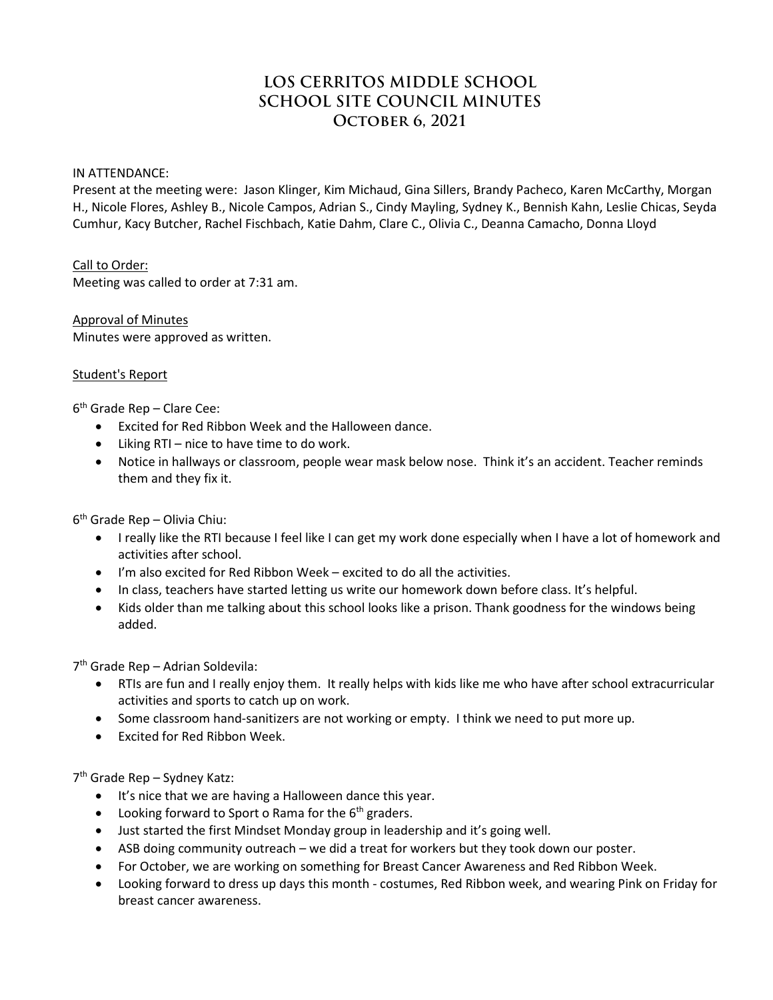# **LOS CERRITOS MIDDLE SCHOOL SCHOOL SITE COUNCIL MINUTES October 6, 2021**

#### IN ATTENDANCE:

Present at the meeting were: Jason Klinger, Kim Michaud, Gina Sillers, Brandy Pacheco, Karen McCarthy, Morgan H., Nicole Flores, Ashley B., Nicole Campos, Adrian S., Cindy Mayling, Sydney K., Bennish Kahn, Leslie Chicas, Seyda Cumhur, Kacy Butcher, Rachel Fischbach, Katie Dahm, Clare C., Olivia C., Deanna Camacho, Donna Lloyd

#### Call to Order:

Meeting was called to order at 7:31 am.

# Approval of Minutes Minutes were approved as written.

### Student's Report

6th Grade Rep – Clare Cee:

- Excited for Red Ribbon Week and the Halloween dance.
- Liking RTI nice to have time to do work.
- Notice in hallways or classroom, people wear mask below nose. Think it's an accident. Teacher reminds them and they fix it.

 $6<sup>th</sup>$  Grade Rep – Olivia Chiu:

- I really like the RTI because I feel like I can get my work done especially when I have a lot of homework and activities after school.
- I'm also excited for Red Ribbon Week excited to do all the activities.
- In class, teachers have started letting us write our homework down before class. It's helpful.
- Kids older than me talking about this school looks like a prison. Thank goodness for the windows being added.

7th Grade Rep – Adrian Soldevila:

- RTIs are fun and I really enjoy them. It really helps with kids like me who have after school extracurricular activities and sports to catch up on work.
- Some classroom hand-sanitizers are not working or empty. I think we need to put more up.
- Excited for Red Ribbon Week.

7th Grade Rep – Sydney Katz:

- It's nice that we are having a Halloween dance this year.
- Looking forward to Sport o Rama for the  $6<sup>th</sup>$  graders.
- Just started the first Mindset Monday group in leadership and it's going well.
- ASB doing community outreach we did a treat for workers but they took down our poster.
- For October, we are working on something for Breast Cancer Awareness and Red Ribbon Week.
- Looking forward to dress up days this month costumes, Red Ribbon week, and wearing Pink on Friday for breast cancer awareness.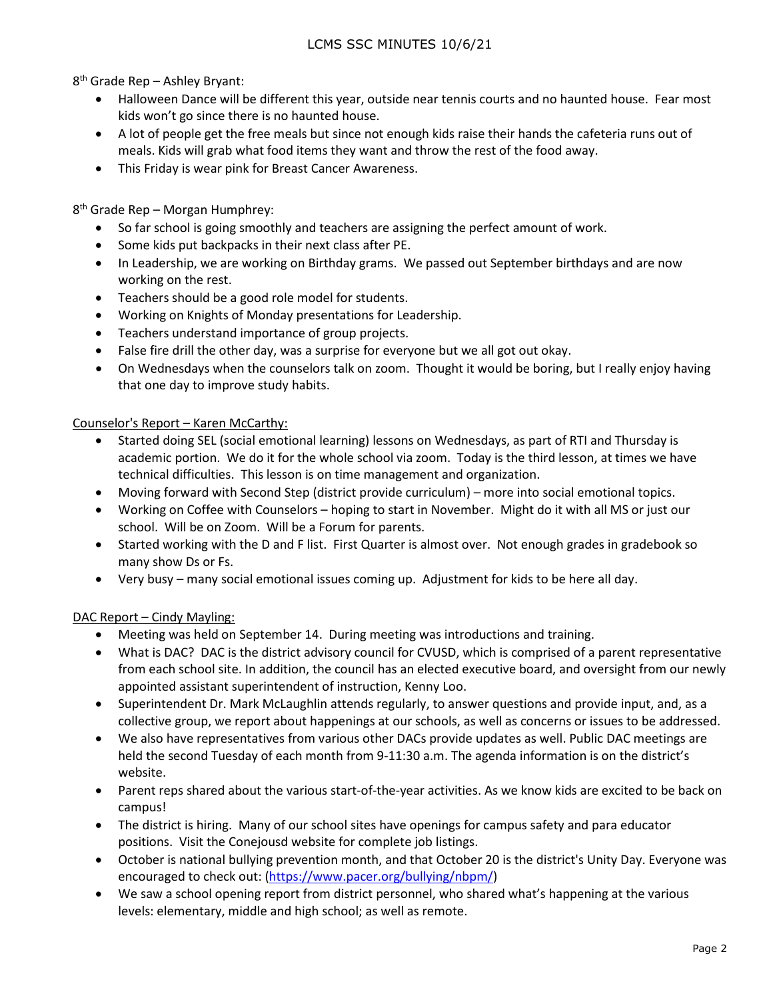8th Grade Rep – Ashley Bryant:

- Halloween Dance will be different this year, outside near tennis courts and no haunted house. Fear most kids won't go since there is no haunted house.
- A lot of people get the free meals but since not enough kids raise their hands the cafeteria runs out of meals. Kids will grab what food items they want and throw the rest of the food away.
- This Friday is wear pink for Breast Cancer Awareness.

8<sup>th</sup> Grade Rep – Morgan Humphrey:

- So far school is going smoothly and teachers are assigning the perfect amount of work.
- Some kids put backpacks in their next class after PE.
- In Leadership, we are working on Birthday grams. We passed out September birthdays and are now working on the rest.
- Teachers should be a good role model for students.
- Working on Knights of Monday presentations for Leadership.
- Teachers understand importance of group projects.
- False fire drill the other day, was a surprise for everyone but we all got out okay.
- On Wednesdays when the counselors talk on zoom. Thought it would be boring, but I really enjoy having that one day to improve study habits.

### Counselor's Report – Karen McCarthy:

- Started doing SEL (social emotional learning) lessons on Wednesdays, as part of RTI and Thursday is academic portion. We do it for the whole school via zoom. Today is the third lesson, at times we have technical difficulties. This lesson is on time management and organization.
- Moving forward with Second Step (district provide curriculum) more into social emotional topics.
- Working on Coffee with Counselors hoping to start in November. Might do it with all MS or just our school. Will be on Zoom. Will be a Forum for parents.
- Started working with the D and F list. First Quarter is almost over. Not enough grades in gradebook so many show Ds or Fs.
- Very busy many social emotional issues coming up. Adjustment for kids to be here all day.

#### DAC Report - Cindy Mayling:

- Meeting was held on September 14. During meeting was introductions and training.
- What is DAC? DAC is the district advisory council for CVUSD, which is comprised of a parent representative from each school site. In addition, the council has an elected executive board, and oversight from our newly appointed assistant superintendent of instruction, Kenny Loo.
- Superintendent Dr. Mark McLaughlin attends regularly, to answer questions and provide input, and, as a collective group, we report about happenings at our schools, as well as concerns or issues to be addressed.
- We also have representatives from various other DACs provide updates as well. Public DAC meetings are held the second Tuesday of each month from 9-11:30 a.m. The agenda information is on the district's website.
- Parent reps shared about the various start-of-the-year activities. As we know kids are excited to be back on campus!
- The district is hiring. Many of our school sites have openings for campus safety and para educator positions. Visit the Conejousd website for complete job listings.
- October is national bullying prevention month, and that October 20 is the district's Unity Day. Everyone was encouraged to check out: [\(https://www.pacer.org/bullying/nbpm/\)](https://www.pacer.org/bullying/nbpm/)
- We saw a school opening report from district personnel, who shared what's happening at the various levels: elementary, middle and high school; as well as remote.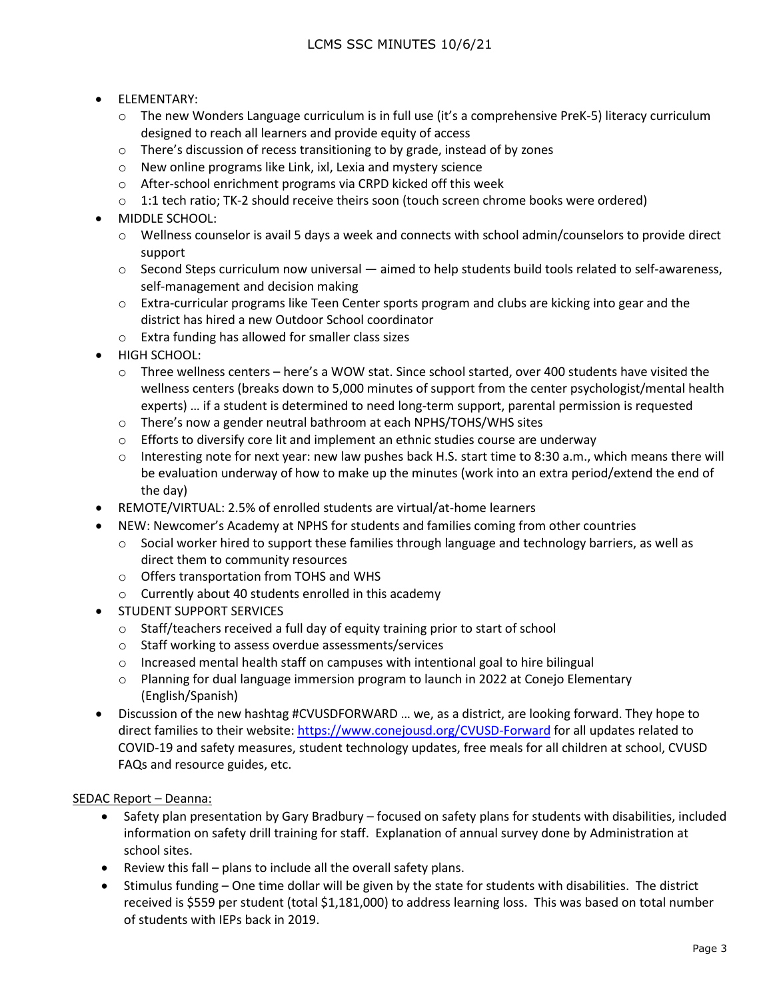- ELEMENTARY:
	- $\circ$  The new Wonders Language curriculum is in full use (it's a comprehensive PreK-5) literacy curriculum designed to reach all learners and provide equity of access
	- o There's discussion of recess transitioning to by grade, instead of by zones
	- o New online programs like Link, ixl, Lexia and mystery science
	- o After-school enrichment programs via CRPD kicked off this week
	- o 1:1 tech ratio; TK-2 should receive theirs soon (touch screen chrome books were ordered)
- MIDDLE SCHOOL:
	- o Wellness counselor is avail 5 days a week and connects with school admin/counselors to provide direct support
	- $\circ$  Second Steps curriculum now universal  $-$  aimed to help students build tools related to self-awareness, self-management and decision making
	- $\circ$  Extra-curricular programs like Teen Center sports program and clubs are kicking into gear and the district has hired a new Outdoor School coordinator
	- o Extra funding has allowed for smaller class sizes
- HIGH SCHOOL:
	- $\circ$  Three wellness centers here's a WOW stat. Since school started, over 400 students have visited the wellness centers (breaks down to 5,000 minutes of support from the center psychologist/mental health experts) … if a student is determined to need long-term support, parental permission is requested
	- o There's now a gender neutral bathroom at each NPHS/TOHS/WHS sites
	- $\circ$  Efforts to diversify core lit and implement an ethnic studies course are underway
	- o Interesting note for next year: new law pushes back H.S. start time to 8:30 a.m., which means there will be evaluation underway of how to make up the minutes (work into an extra period/extend the end of the day)
- REMOTE/VIRTUAL: 2.5% of enrolled students are virtual/at-home learners
- NEW: Newcomer's Academy at NPHS for students and families coming from other countries
	- $\circ$  Social worker hired to support these families through language and technology barriers, as well as direct them to community resources
	- o Offers transportation from TOHS and WHS
	- o Currently about 40 students enrolled in this academy
- STUDENT SUPPORT SERVICES
	- o Staff/teachers received a full day of equity training prior to start of school
	- o Staff working to assess overdue assessments/services
	- $\circ$  Increased mental health staff on campuses with intentional goal to hire bilingual
	- o Planning for dual language immersion program to launch in 2022 at Conejo Elementary (English/Spanish)
- Discussion of the new hashtag #CVUSDFORWARD … we, as a district, are looking forward. They hope to direct families to their website[: https://www.conejousd.org/CVUSD-Forward](https://www.conejousd.org/CVUSD-Forward) for all updates related to COVID-19 and safety measures, student technology updates, free meals for all children at school, CVUSD FAQs and resource guides, etc.

# SEDAC Report – Deanna:

- Safety plan presentation by Gary Bradbury focused on safety plans for students with disabilities, included information on safety drill training for staff. Explanation of annual survey done by Administration at school sites.
- Review this fall plans to include all the overall safety plans.
- Stimulus funding One time dollar will be given by the state for students with disabilities. The district received is \$559 per student (total \$1,181,000) to address learning loss. This was based on total number of students with IEPs back in 2019.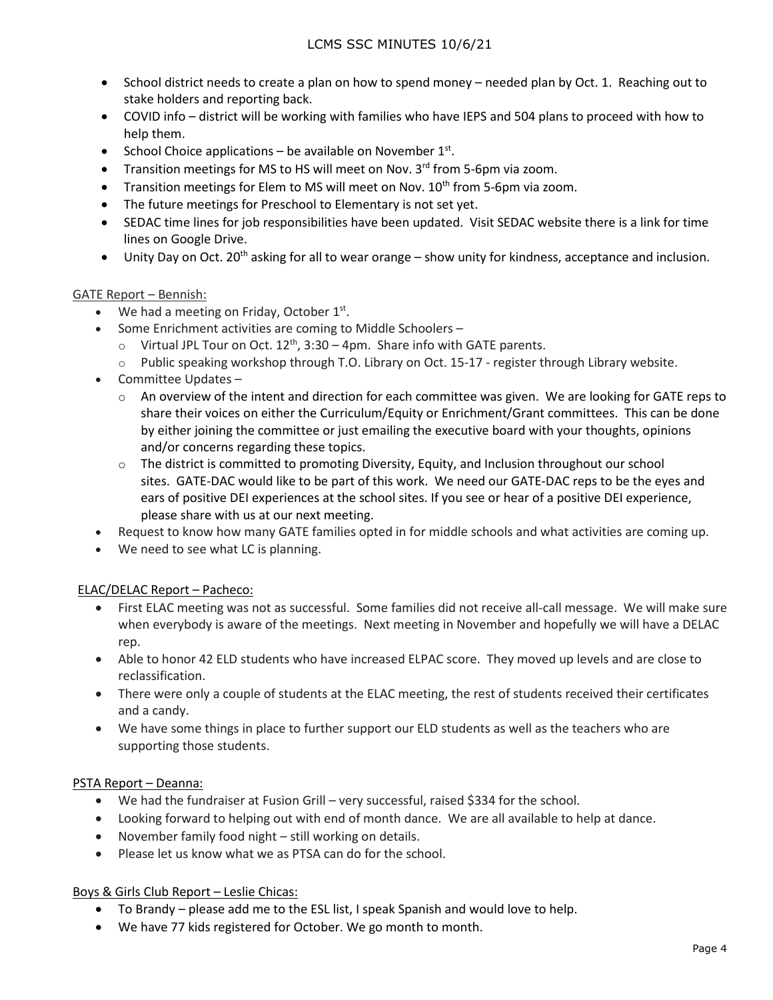- School district needs to create a plan on how to spend money needed plan by Oct. 1. Reaching out to stake holders and reporting back.
- COVID info district will be working with families who have IEPS and 504 plans to proceed with how to help them.
- School Choice applications be available on November  $1<sup>st</sup>$ .
- Transition meetings for MS to HS will meet on Nov. 3<sup>rd</sup> from 5-6pm via zoom.
- Transition meetings for Elem to MS will meet on Nov. 10<sup>th</sup> from 5-6pm via zoom.
- The future meetings for Preschool to Elementary is not set yet.
- SEDAC time lines for job responsibilities have been updated. Visit SEDAC website there is a link for time lines on Google Drive.
- Unity Day on Oct. 20<sup>th</sup> asking for all to wear orange show unity for kindness, acceptance and inclusion.

# GATE Report – Bennish:

- We had a meeting on Friday, October  $1^{st}$ .
- Some Enrichment activities are coming to Middle Schoolers
	- $\circ$  Virtual JPL Tour on Oct. 12<sup>th</sup>, 3:30 4pm. Share info with GATE parents.
	- $\circ$  Public speaking workshop through T.O. Library on Oct. 15-17 register through Library website.
- Committee Updates
	- $\circ$  An overview of the intent and direction for each committee was given. We are looking for GATE reps to share their voices on either the Curriculum/Equity or Enrichment/Grant committees. This can be done by either joining the committee or just emailing the executive board with your thoughts, opinions and/or concerns regarding these topics.
	- $\circ$  The district is committed to promoting Diversity, Equity, and Inclusion throughout our school sites. GATE-DAC would like to be part of this work. We need our GATE-DAC reps to be the eyes and ears of positive DEI experiences at the school sites. If you see or hear of a positive DEI experience, please share with us at our next meeting.
- Request to know how many GATE families opted in for middle schools and what activities are coming up.
- We need to see what LC is planning.

# ELAC/DELAC Report – Pacheco:

- First ELAC meeting was not as successful. Some families did not receive all-call message. We will make sure when everybody is aware of the meetings. Next meeting in November and hopefully we will have a DELAC rep.
- Able to honor 42 ELD students who have increased ELPAC score. They moved up levels and are close to reclassification.
- There were only a couple of students at the ELAC meeting, the rest of students received their certificates and a candy.
- We have some things in place to further support our ELD students as well as the teachers who are supporting those students.

# PSTA Report – Deanna:

- We had the fundraiser at Fusion Grill very successful, raised \$334 for the school.
- Looking forward to helping out with end of month dance. We are all available to help at dance.
- November family food night still working on details.
- Please let us know what we as PTSA can do for the school.

#### Boys & Girls Club Report – Leslie Chicas:

- To Brandy please add me to the ESL list, I speak Spanish and would love to help.
- We have 77 kids registered for October. We go month to month.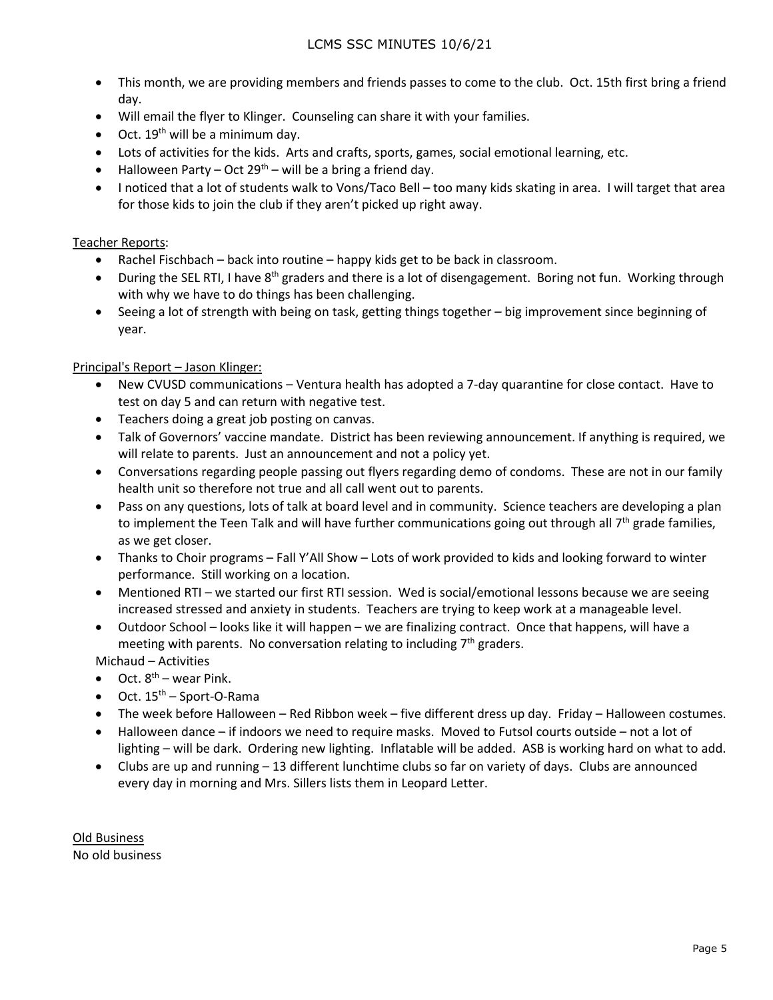- This month, we are providing members and friends passes to come to the club. Oct. 15th first bring a friend day.
- Will email the flyer to Klinger. Counseling can share it with your families.
- Oct.  $19<sup>th</sup>$  will be a minimum day.
- Lots of activities for the kids. Arts and crafts, sports, games, social emotional learning, etc.
- Halloween Party Oct 29<sup>th</sup> will be a bring a friend day.
- I noticed that a lot of students walk to Vons/Taco Bell too many kids skating in area. I will target that area for those kids to join the club if they aren't picked up right away.

#### Teacher Reports:

- Rachel Fischbach back into routine happy kids get to be back in classroom.
- During the SEL RTI, I have 8<sup>th</sup> graders and there is a lot of disengagement. Boring not fun. Working through with why we have to do things has been challenging.
- Seeing a lot of strength with being on task, getting things together big improvement since beginning of year.

#### Principal's Report – Jason Klinger:

- New CVUSD communications Ventura health has adopted a 7-day quarantine for close contact. Have to test on day 5 and can return with negative test.
- Teachers doing a great job posting on canvas.
- Talk of Governors' vaccine mandate. District has been reviewing announcement. If anything is required, we will relate to parents. Just an announcement and not a policy yet.
- Conversations regarding people passing out flyers regarding demo of condoms. These are not in our family health unit so therefore not true and all call went out to parents.
- Pass on any questions, lots of talk at board level and in community. Science teachers are developing a plan to implement the Teen Talk and will have further communications going out through all  $7<sup>th</sup>$  grade families, as we get closer.
- Thanks to Choir programs Fall Y'All Show Lots of work provided to kids and looking forward to winter performance. Still working on a location.
- Mentioned RTI we started our first RTI session. Wed is social/emotional lessons because we are seeing increased stressed and anxiety in students. Teachers are trying to keep work at a manageable level.
- Outdoor School looks like it will happen we are finalizing contract. Once that happens, will have a meeting with parents. No conversation relating to including  $7<sup>th</sup>$  graders.

Michaud – Activities

- Oct.  $8^{th}$  wear Pink.
- $\bullet$  Oct.  $15<sup>th</sup>$  Sport-O-Rama
- The week before Halloween Red Ribbon week five different dress up day. Friday Halloween costumes.
- Halloween dance if indoors we need to require masks. Moved to Futsol courts outside not a lot of lighting – will be dark. Ordering new lighting. Inflatable will be added. ASB is working hard on what to add.
- Clubs are up and running 13 different lunchtime clubs so far on variety of days. Clubs are announced every day in morning and Mrs. Sillers lists them in Leopard Letter.

Old Business No old business